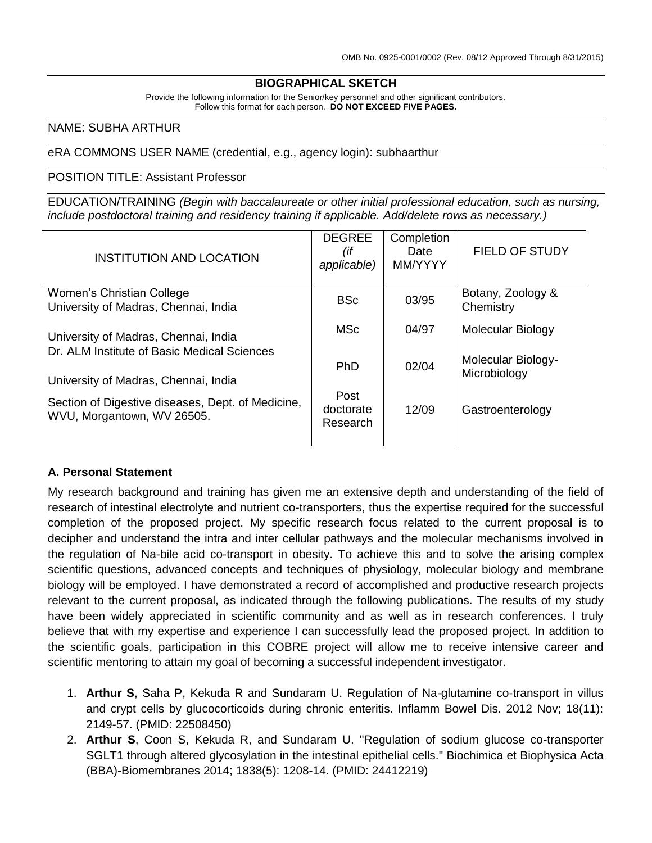### **BIOGRAPHICAL SKETCH**

Provide the following information for the Senior/key personnel and other significant contributors. Follow this format for each person. **DO NOT EXCEED FIVE PAGES.**

#### NAME: SUBHA ARTHUR

eRA COMMONS USER NAME (credential, e.g., agency login): subhaarthur

#### POSITION TITLE: Assistant Professor

EDUCATION/TRAINING *(Begin with baccalaureate or other initial professional education, such as nursing, include postdoctoral training and residency training if applicable. Add/delete rows as necessary.)*

| <b>INSTITUTION AND LOCATION</b>                                                                                             | <b>DEGREE</b><br>(if<br>applicable) | Completion<br>Date<br>MM/YYYY | <b>FIELD OF STUDY</b>              |
|-----------------------------------------------------------------------------------------------------------------------------|-------------------------------------|-------------------------------|------------------------------------|
| Women's Christian College<br>University of Madras, Chennai, India                                                           | <b>BSc</b>                          | 03/95                         | Botany, Zoology &<br>Chemistry     |
| University of Madras, Chennai, India<br>Dr. ALM Institute of Basic Medical Sciences<br>University of Madras, Chennai, India | <b>MSc</b>                          | 04/97                         | <b>Molecular Biology</b>           |
|                                                                                                                             | <b>PhD</b>                          | 02/04                         | Molecular Biology-<br>Microbiology |
| Section of Digestive diseases, Dept. of Medicine,<br>WVU, Morgantown, WV 26505.                                             | Post<br>doctorate<br>Research       | 12/09                         | Gastroenterology                   |
|                                                                                                                             |                                     |                               |                                    |

#### **A. Personal Statement**

My research background and training has given me an extensive depth and understanding of the field of research of intestinal electrolyte and nutrient co-transporters, thus the expertise required for the successful completion of the proposed project. My specific research focus related to the current proposal is to decipher and understand the intra and inter cellular pathways and the molecular mechanisms involved in the regulation of Na-bile acid co-transport in obesity. To achieve this and to solve the arising complex scientific questions, advanced concepts and techniques of physiology, molecular biology and membrane biology will be employed. I have demonstrated a record of accomplished and productive research projects relevant to the current proposal, as indicated through the following publications. The results of my study have been widely appreciated in scientific community and as well as in research conferences. I truly believe that with my expertise and experience I can successfully lead the proposed project. In addition to the scientific goals, participation in this COBRE project will allow me to receive intensive career and scientific mentoring to attain my goal of becoming a successful independent investigator.

- 1. **Arthur S**, Saha P, Kekuda R and Sundaram U. Regulation of Na-glutamine co-transport in villus and crypt cells by glucocorticoids during chronic enteritis. Inflamm Bowel Dis. 2012 Nov; 18(11): 2149-57. (PMID: 22508450)
- 2. **Arthur S**, Coon S, Kekuda R, and Sundaram U. "Regulation of sodium glucose co-transporter SGLT1 through altered glycosylation in the intestinal epithelial cells." Biochimica et Biophysica Acta (BBA)-Biomembranes 2014; 1838(5): 1208-14. (PMID: 24412219)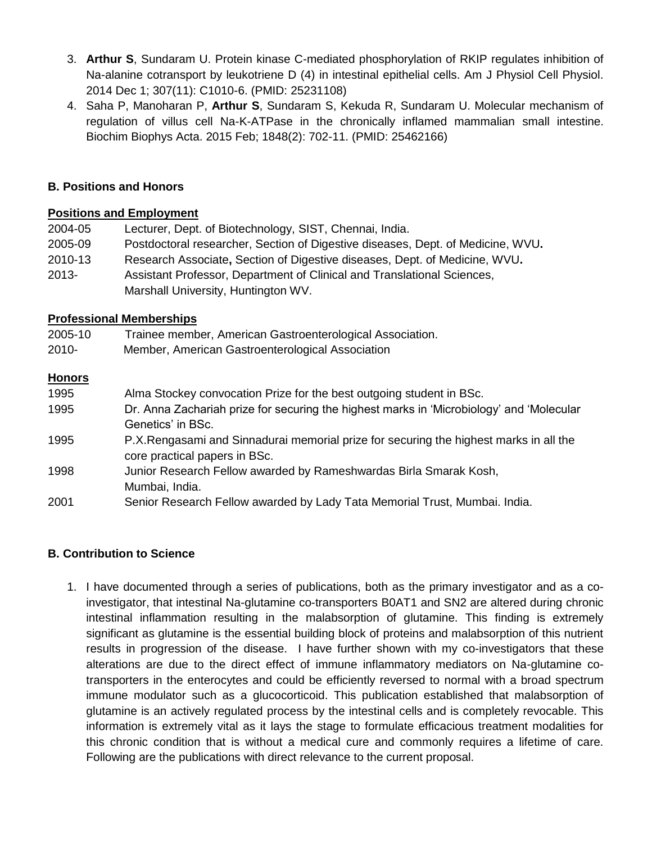- 3. **Arthur S**, Sundaram U. Protein kinase C-mediated phosphorylation of RKIP regulates inhibition of Na-alanine cotransport by leukotriene D (4) in intestinal epithelial cells. Am J Physiol Cell Physiol. 2014 Dec 1; 307(11): C1010-6. (PMID: 25231108)
- 4. Saha P, Manoharan P, **Arthur S**, Sundaram S, Kekuda R, Sundaram U. Molecular mechanism of regulation of villus cell Na-K-ATPase in the chronically inflamed mammalian small intestine. Biochim Biophys Acta. 2015 Feb; 1848(2): 702-11. (PMID: 25462166)

## **B. Positions and Honors**

## **Positions and Employment**

| 2004-05  | Lecturer, Dept. of Biotechnology, SIST, Chennai, India.                         |
|----------|---------------------------------------------------------------------------------|
| 2005-09  | Postdoctoral researcher, Section of Digestive diseases, Dept. of Medicine, WVU. |
| 2010-13  | Research Associate, Section of Digestive diseases, Dept. of Medicine, WVU.      |
| $2013 -$ | Assistant Professor, Department of Clinical and Translational Sciences,         |
|          | Marshall University, Huntington WV.                                             |

## **Professional Memberships**

| 2005-10 | Trainee member, American Gastroenterological Association. |
|---------|-----------------------------------------------------------|
|         |                                                           |

2010- Member, American Gastroenterological Association

### **Honors**

| 1995 | Alma Stockey convocation Prize for the best outgoing student in BSc.                     |
|------|------------------------------------------------------------------------------------------|
| 1995 | Dr. Anna Zachariah prize for securing the highest marks in 'Microbiology' and 'Molecular |
|      | Genetics' in BSc.                                                                        |
| 1995 | P.X. Rengasami and Sinnadurai memorial prize for securing the highest marks in all the   |
|      | core practical papers in BSc.                                                            |
| 1998 | Junior Research Fellow awarded by Rameshwardas Birla Smarak Kosh,                        |
|      | Mumbai, India.                                                                           |
| 2001 | Senior Research Fellow awarded by Lady Tata Memorial Trust, Mumbai. India.               |

### **B. Contribution to Science**

1. I have documented through a series of publications, both as the primary investigator and as a coinvestigator, that intestinal Na-glutamine co-transporters B0AT1 and SN2 are altered during chronic intestinal inflammation resulting in the malabsorption of glutamine. This finding is extremely significant as glutamine is the essential building block of proteins and malabsorption of this nutrient results in progression of the disease. I have further shown with my co-investigators that these alterations are due to the direct effect of immune inflammatory mediators on Na-glutamine cotransporters in the enterocytes and could be efficiently reversed to normal with a broad spectrum immune modulator such as a glucocorticoid. This publication established that malabsorption of glutamine is an actively regulated process by the intestinal cells and is completely revocable. This information is extremely vital as it lays the stage to formulate efficacious treatment modalities for this chronic condition that is without a medical cure and commonly requires a lifetime of care. Following are the publications with direct relevance to the current proposal.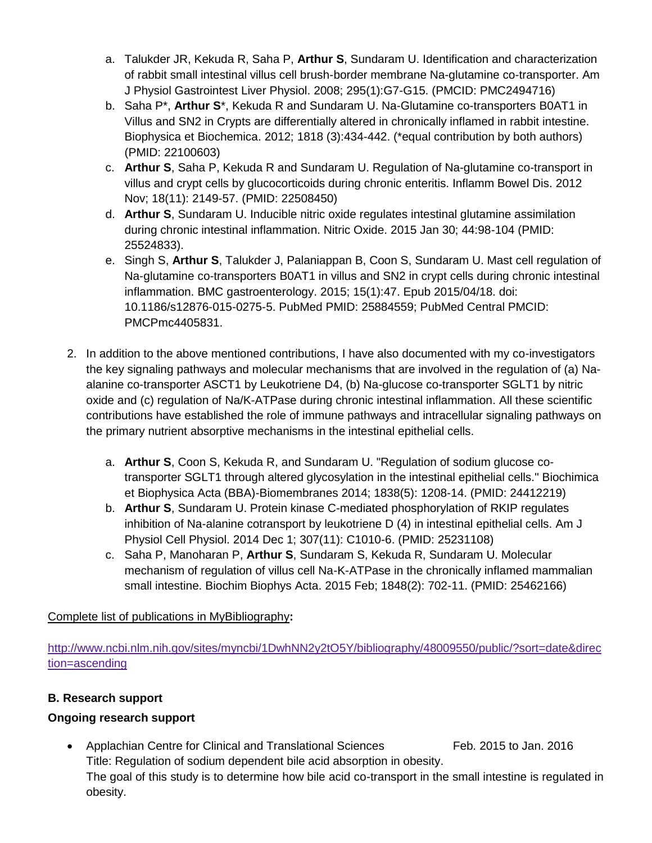- a. Talukder JR, Kekuda R, Saha P, **Arthur S**, Sundaram U. Identification and characterization of rabbit small intestinal villus cell brush-border membrane Na-glutamine co-transporter. Am J Physiol Gastrointest Liver Physiol. 2008; 295(1):G7-G15. (PMCID: PMC2494716)
- b. Saha P\*, **Arthur S**\*, Kekuda R and Sundaram U. Na-Glutamine co-transporters B0AT1 in Villus and SN2 in Crypts are differentially altered in chronically inflamed in rabbit intestine. Biophysica et Biochemica. 2012; 1818 (3):434-442. (\*equal contribution by both authors) (PMID: 22100603)
- c. **Arthur S**, Saha P, Kekuda R and Sundaram U. Regulation of Na-glutamine co-transport in villus and crypt cells by glucocorticoids during chronic enteritis. Inflamm Bowel Dis. 2012 Nov; 18(11): 2149-57. (PMID: 22508450)
- d. **Arthur S**, Sundaram U. Inducible nitric oxide regulates intestinal glutamine assimilation during chronic intestinal inflammation. Nitric Oxide. 2015 Jan 30; 44:98-104 (PMID: 25524833).
- e. Singh S, **Arthur S**, Talukder J, Palaniappan B, Coon S, Sundaram U. Mast cell regulation of Na-glutamine co-transporters B0AT1 in villus and SN2 in crypt cells during chronic intestinal inflammation. BMC gastroenterology. 2015; 15(1):47. Epub 2015/04/18. doi: 10.1186/s12876-015-0275-5. PubMed PMID: 25884559; PubMed Central PMCID: PMCPmc4405831.
- 2. In addition to the above mentioned contributions, I have also documented with my co-investigators the key signaling pathways and molecular mechanisms that are involved in the regulation of (a) Naalanine co-transporter ASCT1 by Leukotriene D4, (b) Na-glucose co-transporter SGLT1 by nitric oxide and (c) regulation of Na/K-ATPase during chronic intestinal inflammation. All these scientific contributions have established the role of immune pathways and intracellular signaling pathways on the primary nutrient absorptive mechanisms in the intestinal epithelial cells.
	- a. **Arthur S**, Coon S, Kekuda R, and Sundaram U. "Regulation of sodium glucose cotransporter SGLT1 through altered glycosylation in the intestinal epithelial cells." Biochimica et Biophysica Acta (BBA)-Biomembranes 2014; 1838(5): 1208-14. (PMID: 24412219)
	- b. **Arthur S**, Sundaram U. Protein kinase C-mediated phosphorylation of RKIP regulates inhibition of Na-alanine cotransport by leukotriene D (4) in intestinal epithelial cells. Am J Physiol Cell Physiol. 2014 Dec 1; 307(11): C1010-6. (PMID: 25231108)
	- c. Saha P, Manoharan P, **Arthur S**, Sundaram S, Kekuda R, Sundaram U. Molecular mechanism of regulation of villus cell Na-K-ATPase in the chronically inflamed mammalian small intestine. Biochim Biophys Acta. 2015 Feb; 1848(2): 702-11. (PMID: 25462166)

Complete list of publications in MyBibliography**:**

[http://www.ncbi.nlm.nih.gov/sites/myncbi/1DwhNN2y2tO5Y/bibliography/48009550/public/?sort=date&direc](http://www.ncbi.nlm.nih.gov/sites/myncbi/1DwhNN2y2tO5Y/bibliography/48009550/public/?sort=date&direction=ascending) [tion=ascending](http://www.ncbi.nlm.nih.gov/sites/myncbi/1DwhNN2y2tO5Y/bibliography/48009550/public/?sort=date&direction=ascending)

# **B. Research support**

# **Ongoing research support**

• Applachian Centre for Clinical and Translational Sciences Feb. 2015 to Jan. 2016 Title: Regulation of sodium dependent bile acid absorption in obesity. The goal of this study is to determine how bile acid co-transport in the small intestine is regulated in obesity.